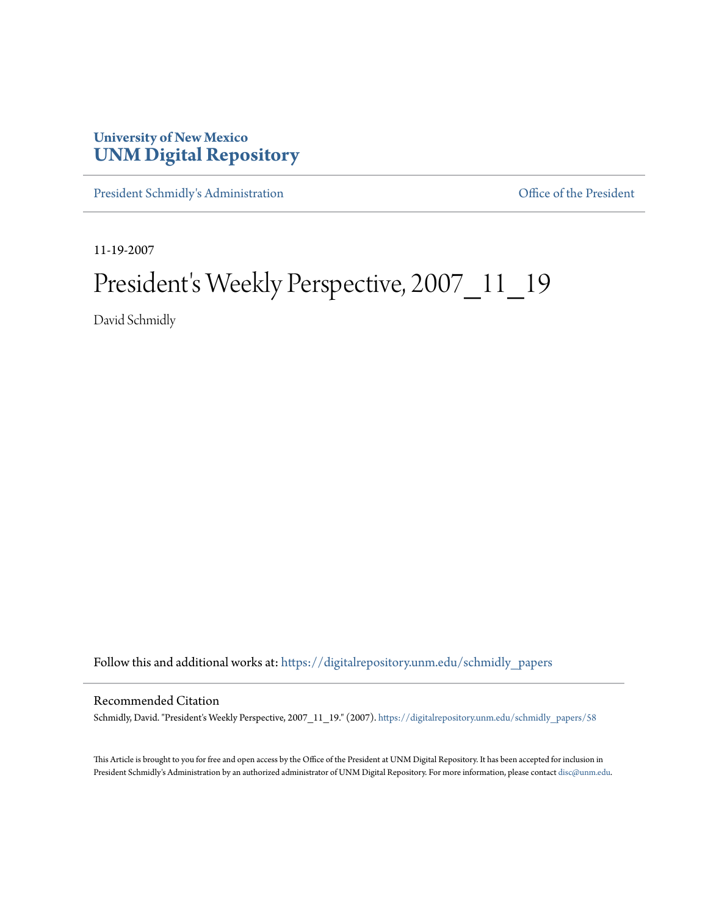## **University of New Mexico [UNM Digital Repository](https://digitalrepository.unm.edu?utm_source=digitalrepository.unm.edu%2Fschmidly_papers%2F58&utm_medium=PDF&utm_campaign=PDFCoverPages)**

[President Schmidly's Administration](https://digitalrepository.unm.edu/schmidly_papers?utm_source=digitalrepository.unm.edu%2Fschmidly_papers%2F58&utm_medium=PDF&utm_campaign=PDFCoverPages) [Office of the President](https://digitalrepository.unm.edu/ofc_president?utm_source=digitalrepository.unm.edu%2Fschmidly_papers%2F58&utm_medium=PDF&utm_campaign=PDFCoverPages)

11-19-2007

## President's Weekly Perspective, 2007\_11\_19

David Schmidly

Follow this and additional works at: [https://digitalrepository.unm.edu/schmidly\\_papers](https://digitalrepository.unm.edu/schmidly_papers?utm_source=digitalrepository.unm.edu%2Fschmidly_papers%2F58&utm_medium=PDF&utm_campaign=PDFCoverPages)

## Recommended Citation

Schmidly, David. "President's Weekly Perspective, 2007\_11\_19." (2007). [https://digitalrepository.unm.edu/schmidly\\_papers/58](https://digitalrepository.unm.edu/schmidly_papers/58?utm_source=digitalrepository.unm.edu%2Fschmidly_papers%2F58&utm_medium=PDF&utm_campaign=PDFCoverPages)

This Article is brought to you for free and open access by the Office of the President at UNM Digital Repository. It has been accepted for inclusion in President Schmidly's Administration by an authorized administrator of UNM Digital Repository. For more information, please contact [disc@unm.edu](mailto:disc@unm.edu).